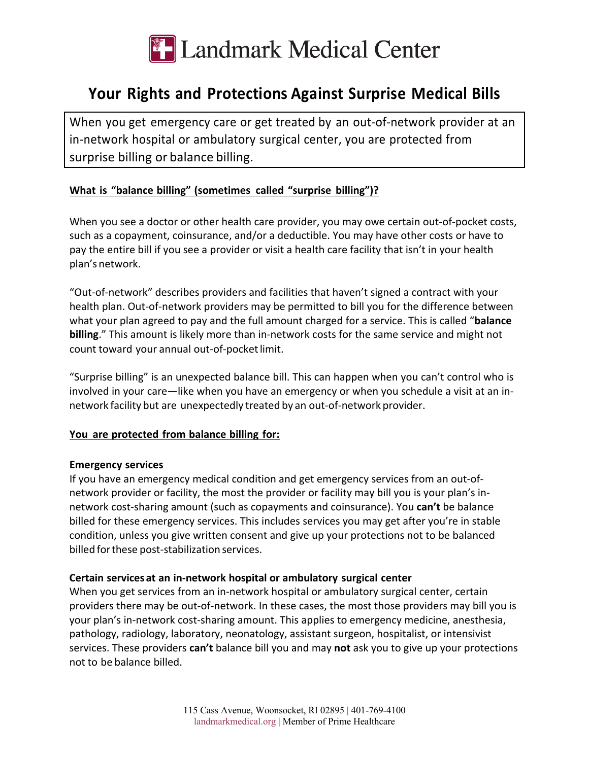

# **Your Rights and Protections Against Surprise Medical Bills**

When you get emergency care or get treated by an out-of-network provider at an in-network hospital or ambulatory surgical center, you are protected from surprise billing or balance billing.

## **What is "balance billing" (sometimes called "surprise billing")?**

When you see a doctor or other health care provider, you may owe certain out-of-pocket costs, such as a copayment, coinsurance, and/or a deductible. You may have other costs or have to pay the entire bill if you see a provider or visit a health care facility that isn't in your health plan's network.

"Out-of-network" describes providers and facilities that haven't signed a contract with your health plan. Out-of-network providers may be permitted to bill you for the difference between what your plan agreed to pay and the full amount charged for a service. This is called "**balance billing**." This amount is likely more than in-network costs for the same service and might not count toward your annual out-of-pocketlimit.

"Surprise billing" is an unexpected balance bill. This can happen when you can't control who is involved in your care—like when you have an emergency or when you schedule a visit at an innetwork facility but are unexpectedly treated by an out-of-network provider.

#### **You are protected from balance billing for:**

#### **Emergency services**

If you have an emergency medical condition and get emergency services from an out-ofnetwork provider or facility, the most the provider or facility may bill you is your plan's innetwork cost-sharing amount (such as copayments and coinsurance). You **can't** be balance billed for these emergency services. This includes services you may get after you're in stable condition, unless you give written consent and give up your protections not to be balanced billed forthese post-stabilization services.

#### **Certain services at an in-network hospital or ambulatory surgical center**

When you get services from an in-network hospital or ambulatory surgical center, certain providers there may be out-of-network. In these cases, the most those providers may bill you is your plan's in-network cost-sharing amount. This applies to emergency medicine, anesthesia, pathology, radiology, laboratory, neonatology, assistant surgeon, hospitalist, or intensivist services. These providers **can't** balance bill you and may **not** ask you to give up your protections not to be balance billed.